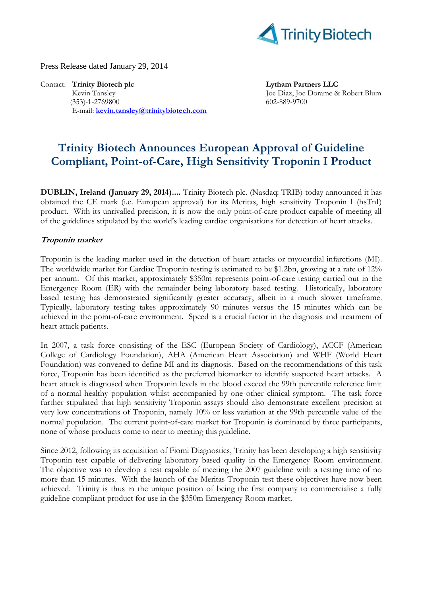

Press Release dated January 29, 2014

Contact: **Trinity Biotech plc Lytham Partners LLC** Kevin Tansley Joe Diaz, Joe Dorame & Robert Blum<br>
(353)-1-2769800 602-889-9700  $(353)-1-2769800$ E-mail: **[kevin.tansley@trinitybiotech.com](mailto:kevin.tansley@trinitybiotech.com)**

# **Trinity Biotech Announces European Approval of Guideline Compliant, Point-of-Care, High Sensitivity Troponin I Product**

**DUBLIN, Ireland (January 29, 2014)....** Trinity Biotech plc. (Nasdaq: TRIB) today announced it has obtained the CE mark (i.e. European approval) for its Meritas, high sensitivity Troponin I (hsTnI) product. With its unrivalled precision, it is now the only point-of-care product capable of meeting all of the guidelines stipulated by the world's leading cardiac organisations for detection of heart attacks.

#### **Troponin market**

Troponin is the leading marker used in the detection of heart attacks or myocardial infarctions (MI). The worldwide market for Cardiac Troponin testing is estimated to be \$1.2bn, growing at a rate of 12% per annum. Of this market, approximately \$350m represents point-of-care testing carried out in the Emergency Room (ER) with the remainder being laboratory based testing. Historically, laboratory based testing has demonstrated significantly greater accuracy, albeit in a much slower timeframe. Typically, laboratory testing takes approximately 90 minutes versus the 15 minutes which can be achieved in the point-of-care environment. Speed is a crucial factor in the diagnosis and treatment of heart attack patients.

In 2007, a task force consisting of the ESC (European Society of Cardiology), ACCF (American College of Cardiology Foundation), AHA (American Heart Association) and WHF (World Heart Foundation) was convened to define MI and its diagnosis. Based on the recommendations of this task force, Troponin has been identified as the preferred biomarker to identify suspected heart attacks. A heart attack is diagnosed when Troponin levels in the blood exceed the 99th percentile reference limit of a normal healthy population whilst accompanied by one other clinical symptom. The task force further stipulated that high sensitivity Troponin assays should also demonstrate excellent precision at very low concentrations of Troponin, namely 10% or less variation at the 99th percentile value of the normal population. The current point-of-care market for Troponin is dominated by three participants, none of whose products come to near to meeting this guideline.

Since 2012, following its acquisition of Fiomi Diagnostics, Trinity has been developing a high sensitivity Troponin test capable of delivering laboratory based quality in the Emergency Room environment. The objective was to develop a test capable of meeting the 2007 guideline with a testing time of no more than 15 minutes. With the launch of the Meritas Troponin test these objectives have now been achieved. Trinity is thus in the unique position of being the first company to commercialise a fully guideline compliant product for use in the \$350m Emergency Room market.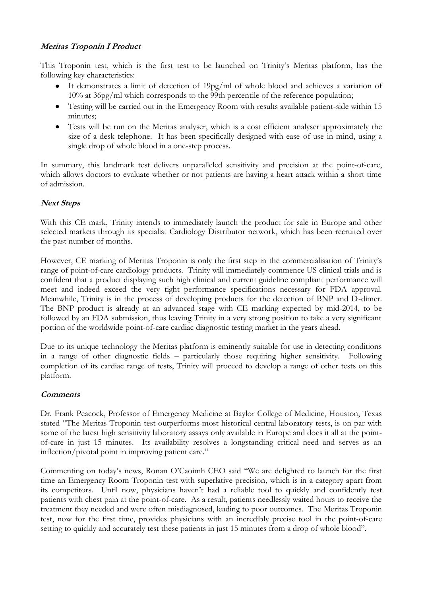## **Meritas Troponin I Product**

This Troponin test, which is the first test to be launched on Trinity's Meritas platform, has the following key characteristics:

- It demonstrates a limit of detection of 19pg/ml of whole blood and achieves a variation of 10% at 36pg/ml which corresponds to the 99th percentile of the reference population;
- Testing will be carried out in the Emergency Room with results available patient-side within 15 minutes;
- Tests will be run on the Meritas analyser, which is a cost efficient analyser approximately the size of a desk telephone. It has been specifically designed with ease of use in mind, using a single drop of whole blood in a one-step process.

In summary, this landmark test delivers unparalleled sensitivity and precision at the point-of-care, which allows doctors to evaluate whether or not patients are having a heart attack within a short time of admission.

## **Next Steps**

With this CE mark, Trinity intends to immediately launch the product for sale in Europe and other selected markets through its specialist Cardiology Distributor network, which has been recruited over the past number of months.

However, CE marking of Meritas Troponin is only the first step in the commercialisation of Trinity's range of point-of-care cardiology products. Trinity will immediately commence US clinical trials and is confident that a product displaying such high clinical and current guideline compliant performance will meet and indeed exceed the very tight performance specifications necessary for FDA approval. Meanwhile, Trinity is in the process of developing products for the detection of BNP and D-dimer. The BNP product is already at an advanced stage with CE marking expected by mid-2014, to be followed by an FDA submission, thus leaving Trinity in a very strong position to take a very significant portion of the worldwide point-of-care cardiac diagnostic testing market in the years ahead.

Due to its unique technology the Meritas platform is eminently suitable for use in detecting conditions in a range of other diagnostic fields – particularly those requiring higher sensitivity. Following completion of its cardiac range of tests, Trinity will proceed to develop a range of other tests on this platform.

#### **Comments**

Dr. Frank Peacock, Professor of Emergency Medicine at Baylor College of Medicine, Houston, Texas stated "The Meritas Troponin test outperforms most historical central laboratory tests, is on par with some of the latest high sensitivity laboratory assays only available in Europe and does it all at the pointof-care in just 15 minutes. Its availability resolves a longstanding critical need and serves as an inflection/pivotal point in improving patient care."

Commenting on today's news, Ronan O'Caoimh CEO said "We are delighted to launch for the first time an Emergency Room Troponin test with superlative precision, which is in a category apart from its competitors. Until now, physicians haven't had a reliable tool to quickly and confidently test patients with chest pain at the point-of-care. As a result, patients needlessly waited hours to receive the treatment they needed and were often misdiagnosed, leading to poor outcomes. The Meritas Troponin test, now for the first time, provides physicians with an incredibly precise tool in the point-of-care setting to quickly and accurately test these patients in just 15 minutes from a drop of whole blood".